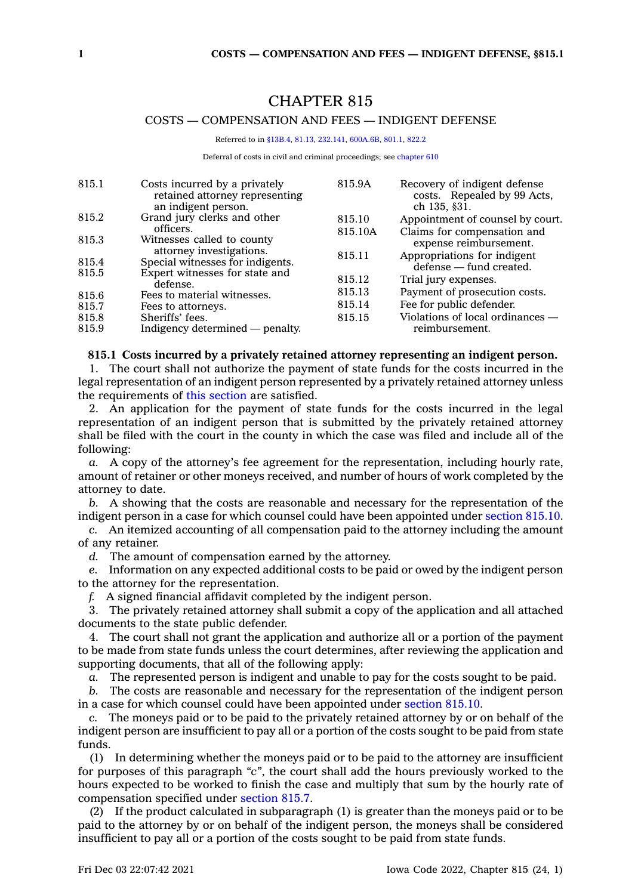# CHAPTER 815

# COSTS — COMPENSATION AND FEES — INDIGENT DEFENSE

Referred to in [§13B.4,](https://www.legis.iowa.gov/docs/code/13B.4.pdf) [81.13,](https://www.legis.iowa.gov/docs/code/81.13.pdf) [232.141](https://www.legis.iowa.gov/docs/code/232.141.pdf), [600A.6B](https://www.legis.iowa.gov/docs/code/600A.6B.pdf), [801.1](https://www.legis.iowa.gov/docs/code/801.1.pdf), [822.2](https://www.legis.iowa.gov/docs/code/822.2.pdf)

Deferral of costs in civil and criminal proceedings; see [chapter](https://www.legis.iowa.gov/docs/code//610.pdf) 610

| 815.1 | Costs incurred by a privately<br>retained attorney representing<br>an indigent person. | 815.9A  | Recovery of indigent defense<br>costs. Repealed by 99 Acts,<br>ch 135, §31. |
|-------|----------------------------------------------------------------------------------------|---------|-----------------------------------------------------------------------------|
| 815.2 | Grand jury clerks and other                                                            | 815.10  | Appointment of counsel by court.                                            |
|       | officers.                                                                              | 815.10A | Claims for compensation and                                                 |
| 815.3 | Witnesses called to county                                                             |         | expense reimbursement.                                                      |
|       | attorney investigations.                                                               | 815.11  | Appropriations for indigent                                                 |
| 815.4 | Special witnesses for indigents.                                                       |         | defense — fund created.                                                     |
| 815.5 | Expert witnesses for state and                                                         | 815.12  | Trial jury expenses.                                                        |
|       | defense.                                                                               | 815.13  | Payment of prosecution costs.                                               |
| 815.6 | Fees to material witnesses.                                                            |         |                                                                             |
| 815.7 | Fees to attorneys.                                                                     | 815.14  | Fee for public defender.                                                    |
| 815.8 | Sheriffs' fees.                                                                        | 815.15  | Violations of local ordinances —                                            |
| 815.9 | Indigency determined — penalty.                                                        |         | reimbursement.                                                              |

# **815.1 Costs incurred by <sup>a</sup> privately retained attorney representing an indigent person.**

1. The court shall not authorize the payment of state funds for the costs incurred in the legal representation of an indigent person represented by <sup>a</sup> privately retained attorney unless the requirements of this [section](https://www.legis.iowa.gov/docs/code/815.1.pdf) are satisfied.

2. An application for the payment of state funds for the costs incurred in the legal representation of an indigent person that is submitted by the privately retained attorney shall be filed with the court in the county in which the case was filed and include all of the following:

*a.* A copy of the attorney's fee agreement for the representation, including hourly rate, amount of retainer or other moneys received, and number of hours of work completed by the attorney to date.

*b.* A showing that the costs are reasonable and necessary for the representation of the indigent person in <sup>a</sup> case for which counsel could have been appointed under [section](https://www.legis.iowa.gov/docs/code/815.10.pdf) 815.10.

*c.* An itemized accounting of all compensation paid to the attorney including the amount of any retainer.

*d.* The amount of compensation earned by the attorney.

*e.* Information on any expected additional costs to be paid or owed by the indigent person to the attorney for the representation.

*f.* A signed financial affidavit completed by the indigent person.

3. The privately retained attorney shall submit <sup>a</sup> copy of the application and all attached documents to the state public defender.

4. The court shall not grant the application and authorize all or <sup>a</sup> portion of the payment to be made from state funds unless the court determines, after reviewing the application and supporting documents, that all of the following apply:

*a.* The represented person is indigent and unable to pay for the costs sought to be paid.

*b.* The costs are reasonable and necessary for the representation of the indigent person in <sup>a</sup> case for which counsel could have been appointed under [section](https://www.legis.iowa.gov/docs/code/815.10.pdf) 815.10.

*c.* The moneys paid or to be paid to the privately retained attorney by or on behalf of the indigent person are insufficient to pay all or <sup>a</sup> portion of the costs sought to be paid from state funds.

(1) In determining whether the moneys paid or to be paid to the attorney are insufficient for purposes of this paragraph *"c"*, the court shall add the hours previously worked to the hours expected to be worked to finish the case and multiply that sum by the hourly rate of compensation specified under [section](https://www.legis.iowa.gov/docs/code/815.7.pdf) 815.7.

(2) If the product calculated in subparagraph (1) is greater than the moneys paid or to be paid to the attorney by or on behalf of the indigent person, the moneys shall be considered insufficient to pay all or <sup>a</sup> portion of the costs sought to be paid from state funds.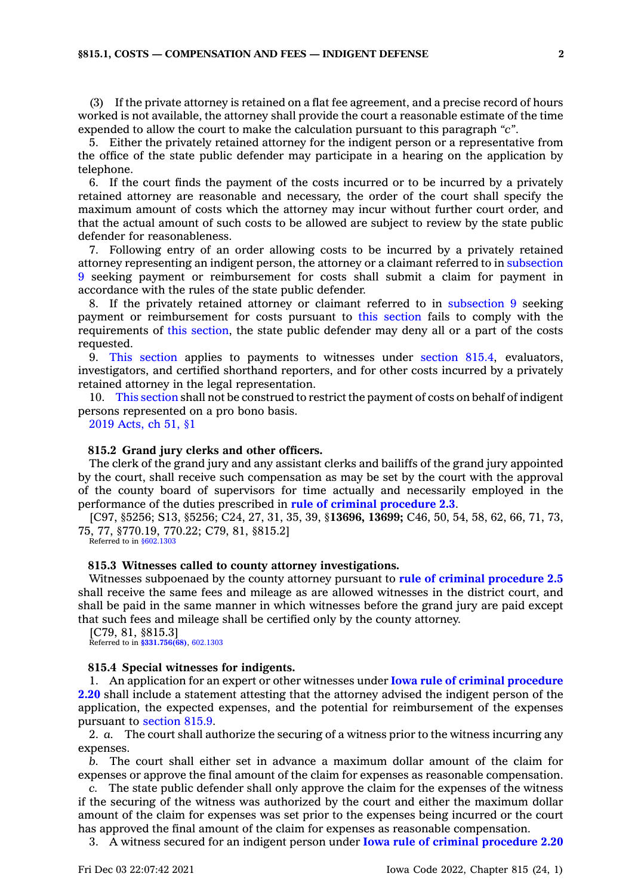# **§815.1, COSTS — COMPENSATION AND FEES — INDIGENT DEFENSE 2**

(3) If the private attorney is retained on <sup>a</sup> flat fee agreement, and <sup>a</sup> precise record of hours worked is not available, the attorney shall provide the court <sup>a</sup> reasonable estimate of the time expended to allow the court to make the calculation pursuant to this paragraph *"c"*.

5. Either the privately retained attorney for the indigent person or <sup>a</sup> representative from the office of the state public defender may participate in <sup>a</sup> hearing on the application by telephone.

6. If the court finds the payment of the costs incurred or to be incurred by <sup>a</sup> privately retained attorney are reasonable and necessary, the order of the court shall specify the maximum amount of costs which the attorney may incur without further court order, and that the actual amount of such costs to be allowed are subject to review by the state public defender for reasonableness.

7. Following entry of an order allowing costs to be incurred by <sup>a</sup> privately retained attorney representing an indigent person, the attorney or <sup>a</sup> claimant referred to in [subsection](https://www.legis.iowa.gov/docs/code/815.1.pdf) [9](https://www.legis.iowa.gov/docs/code/815.1.pdf) seeking payment or reimbursement for costs shall submit <sup>a</sup> claim for payment in accordance with the rules of the state public defender.

8. If the privately retained attorney or claimant referred to in [subsection](https://www.legis.iowa.gov/docs/code/815.1.pdf) 9 seeking payment or reimbursement for costs pursuant to this [section](https://www.legis.iowa.gov/docs/code/815.1.pdf) fails to comply with the requirements of this [section](https://www.legis.iowa.gov/docs/code/815.1.pdf), the state public defender may deny all or <sup>a</sup> part of the costs requested.

9. This [section](https://www.legis.iowa.gov/docs/code/815.1.pdf) applies to payments to witnesses under [section](https://www.legis.iowa.gov/docs/code/815.4.pdf) 815.4, evaluators, investigators, and certified shorthand reporters, and for other costs incurred by <sup>a</sup> privately retained attorney in the legal representation.

10. This [section](https://www.legis.iowa.gov/docs/code/815.1.pdf) shall not be construed to restrict the payment of costs on behalf of indigent persons represented on <sup>a</sup> pro bono basis.

2019 [Acts,](https://www.legis.iowa.gov/docs/acts/2019/CH0051.pdf) ch 51, §1

# **815.2 Grand jury clerks and other officers.**

The clerk of the grand jury and any assistant clerks and bailiffs of the grand jury appointed by the court, shall receive such compensation as may be set by the court with the approval of the county board of supervisors for time actually and necessarily employed in the performance of the duties prescribed in **rule of criminal [procedure](https://www.legis.iowa.gov/docs/ACO/CourtRulesChapter/2.pdf) 2.3**.

[C97, §5256; S13, §5256; C24, 27, 31, 35, 39, §**13696, 13699;** C46, 50, 54, 58, 62, 66, 71, 73, 75, 77, §770.19, 770.22; C79, 81, §815.2]

Referred to in  $$602.1303$ 

## **815.3 Witnesses called to county attorney investigations.**

Witnesses subpoenaed by the county attorney pursuant to **rule of criminal [procedure](https://www.legis.iowa.gov/docs/ACO/CourtRulesChapter/2.pdf) 2.5** shall receive the same fees and mileage as are allowed witnesses in the district court, and shall be paid in the same manner in which witnesses before the grand jury are paid except that such fees and mileage shall be certified only by the county attorney.

[C79, 81, §815.3] Referred to in **[§331.756\(68\)](https://www.legis.iowa.gov/docs/code/331.756.pdf)**, [602.1303](https://www.legis.iowa.gov/docs/code/602.1303.pdf)

#### **815.4 Special witnesses for indigents.**

1. An application for an expert or other witnesses under **Iowa rule of criminal [procedure](https://www.legis.iowa.gov/docs/ACO/CourtRulesChapter/2.pdf) [2.20](https://www.legis.iowa.gov/docs/ACO/CourtRulesChapter/2.pdf)** shall include <sup>a</sup> statement attesting that the attorney advised the indigent person of the application, the expected expenses, and the potential for reimbursement of the expenses pursuant to [section](https://www.legis.iowa.gov/docs/code/815.9.pdf) 815.9.

2. *a.* The court shall authorize the securing of <sup>a</sup> witness prior to the witness incurring any expenses.

*b.* The court shall either set in advance <sup>a</sup> maximum dollar amount of the claim for expenses or approve the final amount of the claim for expenses as reasonable compensation.

*c.* The state public defender shall only approve the claim for the expenses of the witness if the securing of the witness was authorized by the court and either the maximum dollar amount of the claim for expenses was set prior to the expenses being incurred or the court has approved the final amount of the claim for expenses as reasonable compensation.

3. A witness secured for an indigent person under **Iowa rule of criminal [procedure](https://www.legis.iowa.gov/docs/ACO/CourtRulesChapter/2.pdf) 2.20**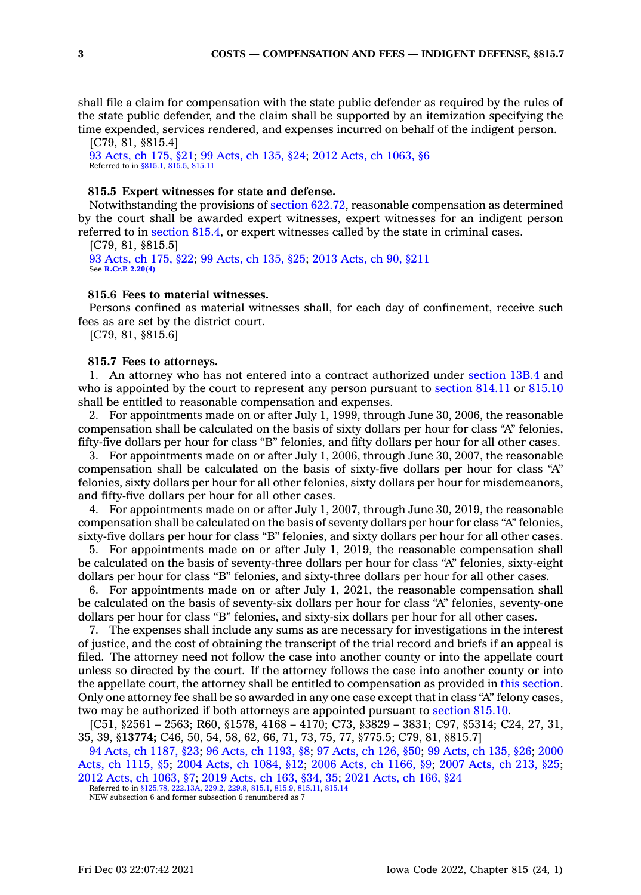shall file <sup>a</sup> claim for compensation with the state public defender as required by the rules of the state public defender, and the claim shall be supported by an itemization specifying the time expended, services rendered, and expenses incurred on behalf of the indigent person.

[C79, 81, §815.4] 93 [Acts,](https://www.legis.iowa.gov/docs/acts/1993/CH0175.pdf) ch 175, §21; 99 [Acts,](https://www.legis.iowa.gov/docs/acts/99/CH0135.pdf) ch 135, §24; 2012 Acts, ch [1063,](https://www.legis.iowa.gov/docs/acts/2012/CH1063.pdf) §6 Referred to in [§815.1](https://www.legis.iowa.gov/docs/code/815.1.pdf), [815.5](https://www.legis.iowa.gov/docs/code/815.5.pdf), [815.11](https://www.legis.iowa.gov/docs/code/815.11.pdf)

# **815.5 Expert witnesses for state and defense.**

Notwithstanding the provisions of section [622.72](https://www.legis.iowa.gov/docs/code/622.72.pdf), reasonable compensation as determined by the court shall be awarded expert witnesses, expert witnesses for an indigent person referred to in [section](https://www.legis.iowa.gov/docs/code/815.4.pdf) 815.4, or expert witnesses called by the state in criminal cases.

[C79, 81, §815.5] 93 [Acts,](https://www.legis.iowa.gov/docs/acts/1993/CH0175.pdf) ch 175, §22; 99 [Acts,](https://www.legis.iowa.gov/docs/acts/99/CH0135.pdf) ch 135, §25; 2013 [Acts,](https://www.legis.iowa.gov/docs/acts/2013/CH0090.pdf) ch 90, §211 See **R.Cr.P. [2.20\(4\)](https://www.legis.iowa.gov/docs/ACO/CourtRulesChapter/2.pdf)**

# **815.6 Fees to material witnesses.**

Persons confined as material witnesses shall, for each day of confinement, receive such fees as are set by the district court.

[C79, 81, §815.6]

## **815.7 Fees to attorneys.**

1. An attorney who has not entered into <sup>a</sup> contract authorized under [section](https://www.legis.iowa.gov/docs/code/13B.4.pdf) 13B.4 and who is appointed by the court to represent any person pursuant to [section](https://www.legis.iowa.gov/docs/code/814.11.pdf) 814.11 or [815.10](https://www.legis.iowa.gov/docs/code/815.10.pdf) shall be entitled to reasonable compensation and expenses.

2. For appointments made on or after July 1, 1999, through June 30, 2006, the reasonable compensation shall be calculated on the basis of sixty dollars per hour for class "A" felonies, fifty-five dollars per hour for class "B" felonies, and fifty dollars per hour for all other cases.

3. For appointments made on or after July 1, 2006, through June 30, 2007, the reasonable compensation shall be calculated on the basis of sixty-five dollars per hour for class "A" felonies, sixty dollars per hour for all other felonies, sixty dollars per hour for misdemeanors, and fifty-five dollars per hour for all other cases.

4. For appointments made on or after July 1, 2007, through June 30, 2019, the reasonable compensation shall be calculated on the basis of seventy dollars per hour for class "A" felonies, sixty-five dollars per hour for class "B" felonies, and sixty dollars per hour for all other cases.

5. For appointments made on or after July 1, 2019, the reasonable compensation shall be calculated on the basis of seventy-three dollars per hour for class "A" felonies, sixty-eight dollars per hour for class "B" felonies, and sixty-three dollars per hour for all other cases.

6. For appointments made on or after July 1, 2021, the reasonable compensation shall be calculated on the basis of seventy-six dollars per hour for class "A" felonies, seventy-one dollars per hour for class "B" felonies, and sixty-six dollars per hour for all other cases.

7. The expenses shall include any sums as are necessary for investigations in the interest of justice, and the cost of obtaining the transcript of the trial record and briefs if an appeal is filed. The attorney need not follow the case into another county or into the appellate court unless so directed by the court. If the attorney follows the case into another county or into the appellate court, the attorney shall be entitled to compensation as provided in this [section](https://www.legis.iowa.gov/docs/code/815.7.pdf). Only one attorney fee shall be so awarded in any one case except that in class "A" felony cases, two may be authorized if both attorneys are appointed pursuant to [section](https://www.legis.iowa.gov/docs/code/815.10.pdf) 815.10.

[C51, §2561 – 2563; R60, §1578, 4168 – 4170; C73, §3829 – 3831; C97, §5314; C24, 27, 31, 35, 39, §**13774;** C46, 50, 54, 58, 62, 66, 71, 73, 75, 77, §775.5; C79, 81, §815.7]

94 Acts, ch [1187,](https://www.legis.iowa.gov/docs/acts/1994/CH1187.pdf) §23; 96 Acts, ch [1193,](https://www.legis.iowa.gov/docs/acts/96/CH1193.pdf) §8; 97 [Acts,](https://www.legis.iowa.gov/docs/acts/97/CH0126.pdf) ch 126, §50; 99 [Acts,](https://www.legis.iowa.gov/docs/acts/99/CH0135.pdf) ch 135, §26; [2000](https://www.legis.iowa.gov/docs/acts/2000/CH1115.pdf) Acts, ch [1115,](https://www.legis.iowa.gov/docs/acts/2000/CH1115.pdf) §5; 2004 Acts, ch [1084,](https://www.legis.iowa.gov/docs/acts/2004/CH1084.pdf) §12; 2006 Acts, ch [1166,](https://www.legis.iowa.gov/docs/acts/2006/CH1166.pdf) §9; 2007 [Acts,](https://www.legis.iowa.gov/docs/acts/2007/CH0213.pdf) ch 213, §25; 2012 Acts, ch [1063,](https://www.legis.iowa.gov/docs/acts/2012/CH1063.pdf) §7; 2019 [Acts,](https://www.legis.iowa.gov/docs/acts/2019/CH0163.pdf) ch 163, §34, 35; 2021 [Acts,](https://www.legis.iowa.gov/docs/acts/2021/CH0166.pdf) ch 166, §24

Referred to in [§125.78](https://www.legis.iowa.gov/docs/code/125.78.pdf), [222.13A](https://www.legis.iowa.gov/docs/code/222.13A.pdf), [229.2](https://www.legis.iowa.gov/docs/code/229.2.pdf), [229.8](https://www.legis.iowa.gov/docs/code/229.8.pdf), [815.1](https://www.legis.iowa.gov/docs/code/815.1.pdf), [815.9](https://www.legis.iowa.gov/docs/code/815.9.pdf), [815.11](https://www.legis.iowa.gov/docs/code/815.11.pdf), [815.14](https://www.legis.iowa.gov/docs/code/815.14.pdf)

NEW subsection 6 and former subsection 6 renumbered as 7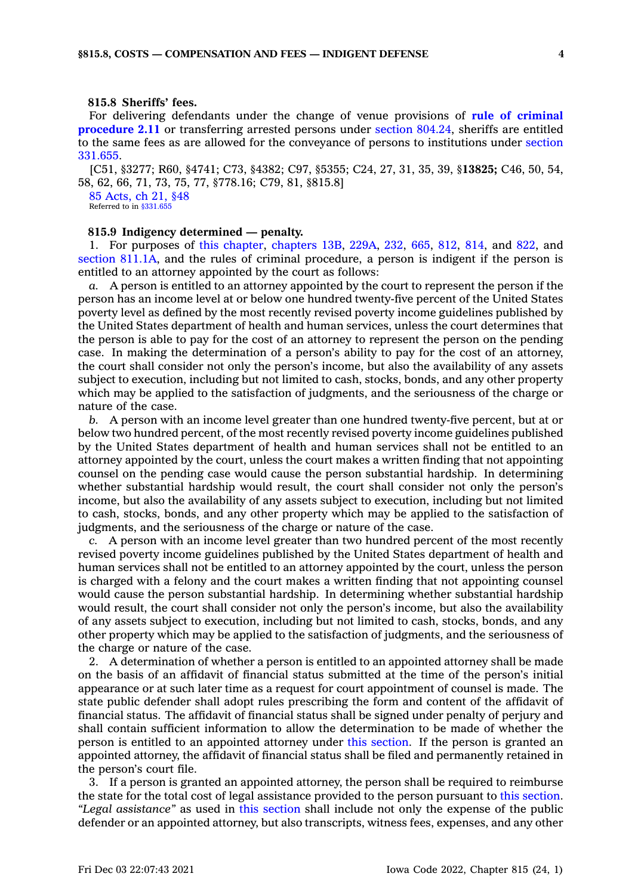# **815.8 Sheriffs' fees.**

For delivering defendants under the change of venue provisions of **rule of [criminal](https://www.legis.iowa.gov/docs/ACO/CourtRulesChapter/2.pdf) [procedure](https://www.legis.iowa.gov/docs/ACO/CourtRulesChapter/2.pdf) 2.11** or transferring arrested persons under section [804.24](https://www.legis.iowa.gov/docs/code/804.24.pdf), sheriffs are entitled to the same fees as are allowed for the conveyance of persons to institutions under [section](https://www.legis.iowa.gov/docs/code/331.655.pdf) [331.655](https://www.legis.iowa.gov/docs/code/331.655.pdf).

[C51, §3277; R60, §4741; C73, §4382; C97, §5355; C24, 27, 31, 35, 39, §**13825;** C46, 50, 54, 58, 62, 66, 71, 73, 75, 77, §778.16; C79, 81, §815.8]

85 [Acts,](https://www.legis.iowa.gov/docs/acts/1985/CH0021.pdf) ch 21, §48 Referred to in  $$331.65$ 

# **815.9 Indigency determined — penalty.**

1. For purposes of this [chapter](https://www.legis.iowa.gov/docs/code//815.pdf), [chapters](https://www.legis.iowa.gov/docs/code//13B.pdf) 13B, [229A](https://www.legis.iowa.gov/docs/code//229A.pdf), [232](https://www.legis.iowa.gov/docs/code//232.pdf), [665](https://www.legis.iowa.gov/docs/code//665.pdf), [812](https://www.legis.iowa.gov/docs/code//812.pdf), [814](https://www.legis.iowa.gov/docs/code//814.pdf), and [822](https://www.legis.iowa.gov/docs/code//822.pdf), and section [811.1A](https://www.legis.iowa.gov/docs/code/811.1A.pdf), and the rules of criminal procedure, <sup>a</sup> person is indigent if the person is entitled to an attorney appointed by the court as follows:

*a.* A person is entitled to an attorney appointed by the court to represent the person if the person has an income level at or below one hundred twenty-five percent of the United States poverty level as defined by the most recently revised poverty income guidelines published by the United States department of health and human services, unless the court determines that the person is able to pay for the cost of an attorney to represent the person on the pending case. In making the determination of <sup>a</sup> person's ability to pay for the cost of an attorney, the court shall consider not only the person's income, but also the availability of any assets subject to execution, including but not limited to cash, stocks, bonds, and any other property which may be applied to the satisfaction of judgments, and the seriousness of the charge or nature of the case.

*b.* A person with an income level greater than one hundred twenty-five percent, but at or below two hundred percent, of the most recently revised poverty income guidelines published by the United States department of health and human services shall not be entitled to an attorney appointed by the court, unless the court makes <sup>a</sup> written finding that not appointing counsel on the pending case would cause the person substantial hardship. In determining whether substantial hardship would result, the court shall consider not only the person's income, but also the availability of any assets subject to execution, including but not limited to cash, stocks, bonds, and any other property which may be applied to the satisfaction of judgments, and the seriousness of the charge or nature of the case.

*c.* A person with an income level greater than two hundred percent of the most recently revised poverty income guidelines published by the United States department of health and human services shall not be entitled to an attorney appointed by the court, unless the person is charged with <sup>a</sup> felony and the court makes <sup>a</sup> written finding that not appointing counsel would cause the person substantial hardship. In determining whether substantial hardship would result, the court shall consider not only the person's income, but also the availability of any assets subject to execution, including but not limited to cash, stocks, bonds, and any other property which may be applied to the satisfaction of judgments, and the seriousness of the charge or nature of the case.

2. A determination of whether <sup>a</sup> person is entitled to an appointed attorney shall be made on the basis of an affidavit of financial status submitted at the time of the person's initial appearance or at such later time as <sup>a</sup> request for court appointment of counsel is made. The state public defender shall adopt rules prescribing the form and content of the affidavit of financial status. The affidavit of financial status shall be signed under penalty of perjury and shall contain sufficient information to allow the determination to be made of whether the person is entitled to an appointed attorney under this [section](https://www.legis.iowa.gov/docs/code/815.9.pdf). If the person is granted an appointed attorney, the affidavit of financial status shall be filed and permanently retained in the person's court file.

3. If <sup>a</sup> person is granted an appointed attorney, the person shall be required to reimburse the state for the total cost of legal assistance provided to the person pursuant to this [section](https://www.legis.iowa.gov/docs/code/815.9.pdf). *"Legal assistance"* as used in this [section](https://www.legis.iowa.gov/docs/code/815.9.pdf) shall include not only the expense of the public defender or an appointed attorney, but also transcripts, witness fees, expenses, and any other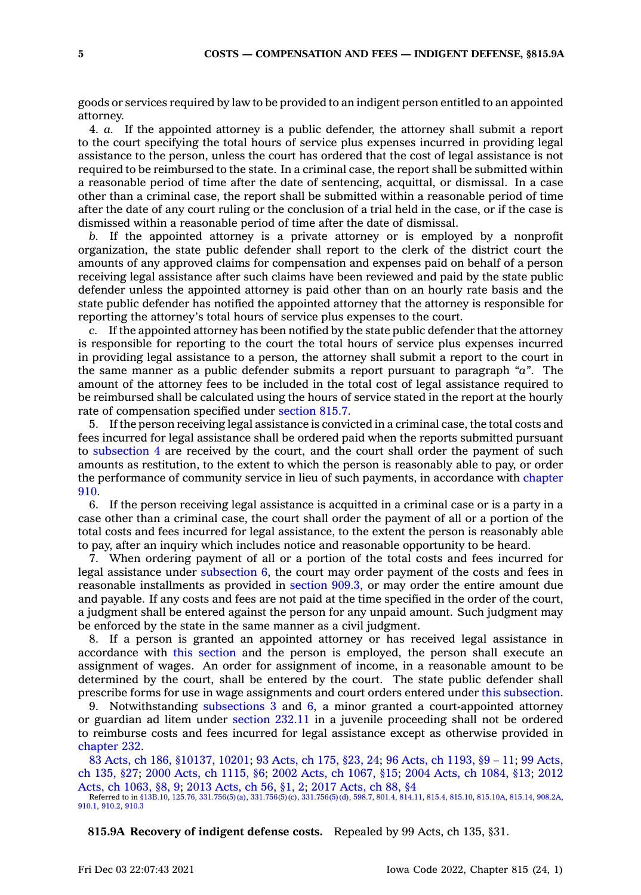goods or services required by law to be provided to an indigent person entitled to an appointed attorney.

4. *a.* If the appointed attorney is <sup>a</sup> public defender, the attorney shall submit <sup>a</sup> report to the court specifying the total hours of service plus expenses incurred in providing legal assistance to the person, unless the court has ordered that the cost of legal assistance is not required to be reimbursed to the state. In <sup>a</sup> criminal case, the report shall be submitted within <sup>a</sup> reasonable period of time after the date of sentencing, acquittal, or dismissal. In <sup>a</sup> case other than <sup>a</sup> criminal case, the report shall be submitted within <sup>a</sup> reasonable period of time after the date of any court ruling or the conclusion of <sup>a</sup> trial held in the case, or if the case is dismissed within <sup>a</sup> reasonable period of time after the date of dismissal.

*b.* If the appointed attorney is <sup>a</sup> private attorney or is employed by <sup>a</sup> nonprofit organization, the state public defender shall report to the clerk of the district court the amounts of any approved claims for compensation and expenses paid on behalf of <sup>a</sup> person receiving legal assistance after such claims have been reviewed and paid by the state public defender unless the appointed attorney is paid other than on an hourly rate basis and the state public defender has notified the appointed attorney that the attorney is responsible for reporting the attorney's total hours of service plus expenses to the court.

*c.* If the appointed attorney has been notified by the state public defender that the attorney is responsible for reporting to the court the total hours of service plus expenses incurred in providing legal assistance to <sup>a</sup> person, the attorney shall submit <sup>a</sup> report to the court in the same manner as <sup>a</sup> public defender submits <sup>a</sup> report pursuant to paragraph *"a"*. The amount of the attorney fees to be included in the total cost of legal assistance required to be reimbursed shall be calculated using the hours of service stated in the report at the hourly rate of compensation specified under [section](https://www.legis.iowa.gov/docs/code/815.7.pdf) 815.7.

5. If the person receiving legal assistance is convicted in <sup>a</sup> criminal case, the total costs and fees incurred for legal assistance shall be ordered paid when the reports submitted pursuant to [subsection](https://www.legis.iowa.gov/docs/code/815.9.pdf) 4 are received by the court, and the court shall order the payment of such amounts as restitution, to the extent to which the person is reasonably able to pay, or order the performance of community service in lieu of such payments, in accordance with [chapter](https://www.legis.iowa.gov/docs/code//910.pdf) [910](https://www.legis.iowa.gov/docs/code//910.pdf).

6. If the person receiving legal assistance is acquitted in <sup>a</sup> criminal case or is <sup>a</sup> party in <sup>a</sup> case other than <sup>a</sup> criminal case, the court shall order the payment of all or <sup>a</sup> portion of the total costs and fees incurred for legal assistance, to the extent the person is reasonably able to pay, after an inquiry which includes notice and reasonable opportunity to be heard.

7. When ordering payment of all or <sup>a</sup> portion of the total costs and fees incurred for legal assistance under [subsection](https://www.legis.iowa.gov/docs/code/815.9.pdf) 6, the court may order payment of the costs and fees in reasonable installments as provided in [section](https://www.legis.iowa.gov/docs/code/909.3.pdf) 909.3, or may order the entire amount due and payable. If any costs and fees are not paid at the time specified in the order of the court, <sup>a</sup> judgment shall be entered against the person for any unpaid amount. Such judgment may be enforced by the state in the same manner as <sup>a</sup> civil judgment.

8. If <sup>a</sup> person is granted an appointed attorney or has received legal assistance in accordance with this [section](https://www.legis.iowa.gov/docs/code/815.9.pdf) and the person is employed, the person shall execute an assignment of wages. An order for assignment of income, in <sup>a</sup> reasonable amount to be determined by the court, shall be entered by the court. The state public defender shall prescribe forms for use in wage assignments and court orders entered under this [subsection](https://www.legis.iowa.gov/docs/code/815.9.pdf).

9. Notwithstanding [subsections](https://www.legis.iowa.gov/docs/code/815.9.pdf) 3 and [6](https://www.legis.iowa.gov/docs/code/815.9.pdf), <sup>a</sup> minor granted <sup>a</sup> court-appointed attorney or guardian ad litem under [section](https://www.legis.iowa.gov/docs/code/232.11.pdf) 232.11 in <sup>a</sup> juvenile proceeding shall not be ordered to reimburse costs and fees incurred for legal assistance except as otherwise provided in [chapter](https://www.legis.iowa.gov/docs/code//232.pdf) 232.

83 Acts, ch 186, [§10137,](https://www.legis.iowa.gov/docs/acts/1983/CH0186.pdf) 10201; 93 [Acts,](https://www.legis.iowa.gov/docs/acts/93/CH0175.pdf) ch 175, §23, 24; 96 Acts, ch [1193,](https://www.legis.iowa.gov/docs/acts/96/CH1193.pdf) §9 – 11; 99 [Acts,](https://www.legis.iowa.gov/docs/acts/99/CH0135.pdf) ch [135,](https://www.legis.iowa.gov/docs/acts/99/CH0135.pdf) §27; 2000 Acts, ch [1115,](https://www.legis.iowa.gov/docs/acts/2000/CH1115.pdf) §6; 2002 Acts, ch [1067,](https://www.legis.iowa.gov/docs/acts/2002/CH1067.pdf) §15; 2004 Acts, ch [1084,](https://www.legis.iowa.gov/docs/acts/2004/CH1084.pdf) §13; [2012](https://www.legis.iowa.gov/docs/acts/2012/CH1063.pdf) Acts, ch [1063,](https://www.legis.iowa.gov/docs/acts/2012/CH1063.pdf) §8, 9; 2013 [Acts,](https://www.legis.iowa.gov/docs/acts/2013/CH0056.pdf) ch 56, §1, 2; 2017 [Acts,](https://www.legis.iowa.gov/docs/acts/2017/CH0088.pdf) ch 88, §4 Referred to in [§13B.10](https://www.legis.iowa.gov/docs/code/13B.10.pdf), [125.76](https://www.legis.iowa.gov/docs/code/125.76.pdf), [331.756\(5\)\(a\)](https://www.legis.iowa.gov/docs/code/331.756.pdf), [331.756\(5\)\(c\)](https://www.legis.iowa.gov/docs/code/331.756.pdf), [331.756\(5\)\(d\)](https://www.legis.iowa.gov/docs/code/331.756.pdf), [598.7](https://www.legis.iowa.gov/docs/code/598.7.pdf), [801.4](https://www.legis.iowa.gov/docs/code/801.4.pdf), [814.11](https://www.legis.iowa.gov/docs/code/814.11.pdf), [815.4](https://www.legis.iowa.gov/docs/code/815.4.pdf), [815.10](https://www.legis.iowa.gov/docs/code/815.10.pdf), [815.10A](https://www.legis.iowa.gov/docs/code/815.10A.pdf), [815.14](https://www.legis.iowa.gov/docs/code/815.14.pdf), [908.2A](https://www.legis.iowa.gov/docs/code/908.2A.pdf),

[910.1](https://www.legis.iowa.gov/docs/code/910.1.pdf), [910.2](https://www.legis.iowa.gov/docs/code/910.2.pdf), [910.3](https://www.legis.iowa.gov/docs/code/910.3.pdf)

**815.9A Recovery of indigent defense costs.** Repealed by 99 Acts, ch 135, §31.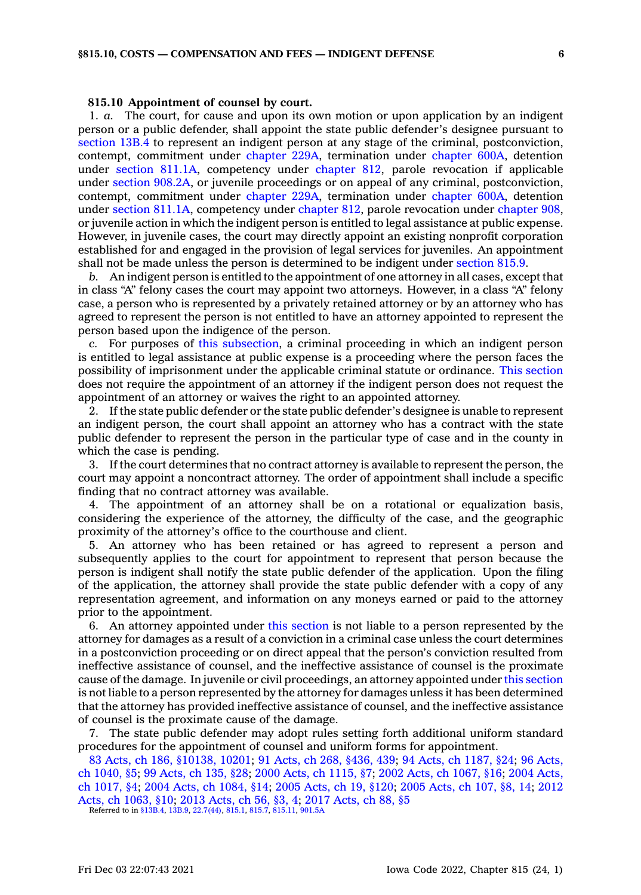### **815.10 Appointment of counsel by court.**

1. *a.* The court, for cause and upon its own motion or upon application by an indigent person or <sup>a</sup> public defender, shall appoint the state public defender's designee pursuant to [section](https://www.legis.iowa.gov/docs/code/13B.4.pdf) 13B.4 to represent an indigent person at any stage of the criminal, postconviction, contempt, commitment under [chapter](https://www.legis.iowa.gov/docs/code//229A.pdf) 229A, termination under [chapter](https://www.legis.iowa.gov/docs/code//600A.pdf) 600A, detention under section [811.1A](https://www.legis.iowa.gov/docs/code/811.1A.pdf), competency under [chapter](https://www.legis.iowa.gov/docs/code//812.pdf) 812, parole revocation if applicable under section [908.2A](https://www.legis.iowa.gov/docs/code/908.2A.pdf), or juvenile proceedings or on appeal of any criminal, postconviction, contempt, commitment under [chapter](https://www.legis.iowa.gov/docs/code//229A.pdf) 229A, termination under [chapter](https://www.legis.iowa.gov/docs/code//600A.pdf) 600A, detention under section [811.1A](https://www.legis.iowa.gov/docs/code/811.1A.pdf), competency under [chapter](https://www.legis.iowa.gov/docs/code//812.pdf) 812, parole revocation under [chapter](https://www.legis.iowa.gov/docs/code//908.pdf) 908, or juvenile action in which the indigent person is entitled to legal assistance at public expense. However, in juvenile cases, the court may directly appoint an existing nonprofit corporation established for and engaged in the provision of legal services for juveniles. An appointment shall not be made unless the person is determined to be indigent under [section](https://www.legis.iowa.gov/docs/code/815.9.pdf) 815.9.

*b.* An indigent person is entitled to the appointment of one attorney in all cases, except that in class "A" felony cases the court may appoint two attorneys. However, in <sup>a</sup> class "A" felony case, <sup>a</sup> person who is represented by <sup>a</sup> privately retained attorney or by an attorney who has agreed to represent the person is not entitled to have an attorney appointed to represent the person based upon the indigence of the person.

*c.* For purposes of this [subsection](https://www.legis.iowa.gov/docs/code/815.10.pdf), <sup>a</sup> criminal proceeding in which an indigent person is entitled to legal assistance at public expense is <sup>a</sup> proceeding where the person faces the possibility of imprisonment under the applicable criminal statute or ordinance. This [section](https://www.legis.iowa.gov/docs/code/815.10.pdf) does not require the appointment of an attorney if the indigent person does not request the appointment of an attorney or waives the right to an appointed attorney.

2. If the state public defender or the state public defender's designee is unable to represent an indigent person, the court shall appoint an attorney who has <sup>a</sup> contract with the state public defender to represent the person in the particular type of case and in the county in which the case is pending.

3. If the court determines that no contract attorney is available to represent the person, the court may appoint <sup>a</sup> noncontract attorney. The order of appointment shall include <sup>a</sup> specific finding that no contract attorney was available.

4. The appointment of an attorney shall be on <sup>a</sup> rotational or equalization basis, considering the experience of the attorney, the difficulty of the case, and the geographic proximity of the attorney's office to the courthouse and client.

5. An attorney who has been retained or has agreed to represent <sup>a</sup> person and subsequently applies to the court for appointment to represent that person because the person is indigent shall notify the state public defender of the application. Upon the filing of the application, the attorney shall provide the state public defender with <sup>a</sup> copy of any representation agreement, and information on any moneys earned or paid to the attorney prior to the appointment.

6. An attorney appointed under this [section](https://www.legis.iowa.gov/docs/code/815.10.pdf) is not liable to <sup>a</sup> person represented by the attorney for damages as <sup>a</sup> result of <sup>a</sup> conviction in <sup>a</sup> criminal case unless the court determines in <sup>a</sup> postconviction proceeding or on direct appeal that the person's conviction resulted from ineffective assistance of counsel, and the ineffective assistance of counsel is the proximate cause of the damage. In juvenile or civil proceedings, an attorney appointed under this [section](https://www.legis.iowa.gov/docs/code/815.10.pdf) is not liable to <sup>a</sup> person represented by the attorney for damages unless it has been determined that the attorney has provided ineffective assistance of counsel, and the ineffective assistance of counsel is the proximate cause of the damage.

7. The state public defender may adopt rules setting forth additional uniform standard procedures for the appointment of counsel and uniform forms for appointment.

83 Acts, ch 186, [§10138,](https://www.legis.iowa.gov/docs/acts/1983/CH0186.pdf) 10201; 91 Acts, ch 268, [§436,](https://www.legis.iowa.gov/docs/acts/91/CH0268.pdf) 439; 94 Acts, ch [1187,](https://www.legis.iowa.gov/docs/acts/94/CH1187.pdf) §24; 96 [Acts,](https://www.legis.iowa.gov/docs/acts/96/CH1040.pdf) ch [1040,](https://www.legis.iowa.gov/docs/acts/96/CH1040.pdf) §5; 99 [Acts,](https://www.legis.iowa.gov/docs/acts/99/CH0135.pdf) ch 135, §28; 2000 Acts, ch [1115,](https://www.legis.iowa.gov/docs/acts/2000/CH1115.pdf) §7; 2002 Acts, ch [1067,](https://www.legis.iowa.gov/docs/acts/2002/CH1067.pdf) §16; 2004 [Acts,](https://www.legis.iowa.gov/docs/acts/2004/CH1017.pdf) ch [1017,](https://www.legis.iowa.gov/docs/acts/2004/CH1017.pdf) §4; 2004 Acts, ch [1084,](https://www.legis.iowa.gov/docs/acts/2004/CH1084.pdf) §14; 2005 [Acts,](https://www.legis.iowa.gov/docs/acts/2005/CH0019.pdf) ch 19, §120; 2005 [Acts,](https://www.legis.iowa.gov/docs/acts/2005/CH0107.pdf) ch 107, §8, 14; [2012](https://www.legis.iowa.gov/docs/acts/2012/CH1063.pdf) Acts, ch [1063,](https://www.legis.iowa.gov/docs/acts/2012/CH1063.pdf) §10; 2013 [Acts,](https://www.legis.iowa.gov/docs/acts/2013/CH0056.pdf) ch 56, §3, 4; 2017 [Acts,](https://www.legis.iowa.gov/docs/acts/2017/CH0088.pdf) ch 88, §5

Referred to in [§13B.4](https://www.legis.iowa.gov/docs/code/13B.4.pdf), [13B.9,](https://www.legis.iowa.gov/docs/code/13B.9.pdf) [22.7\(44\)](https://www.legis.iowa.gov/docs/code/22.7.pdf), [815.1](https://www.legis.iowa.gov/docs/code/815.1.pdf), [815.7](https://www.legis.iowa.gov/docs/code/815.7.pdf), [815.11](https://www.legis.iowa.gov/docs/code/815.11.pdf), [901.5A](https://www.legis.iowa.gov/docs/code/901.5A.pdf)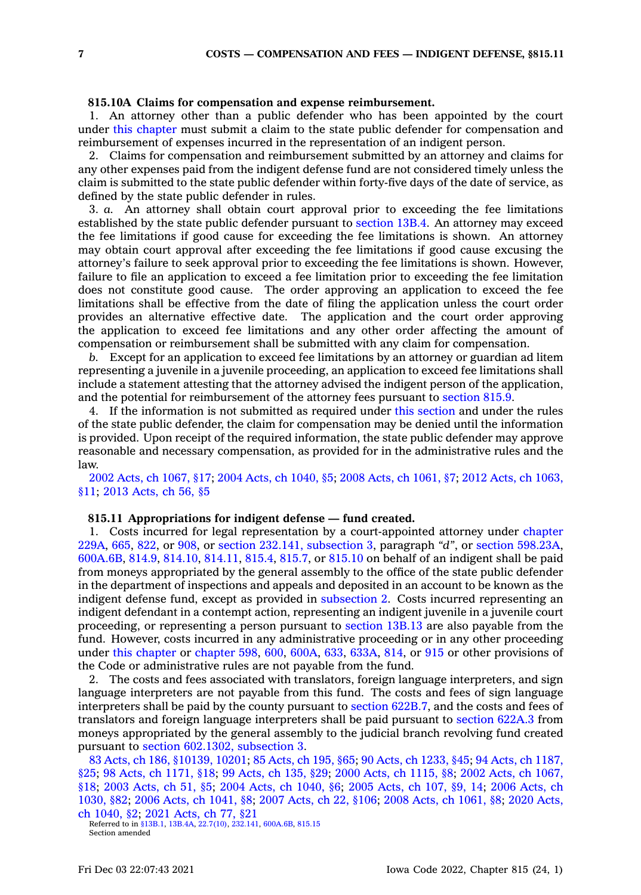# **815.10A Claims for compensation and expense reimbursement.**

1. An attorney other than <sup>a</sup> public defender who has been appointed by the court under this [chapter](https://www.legis.iowa.gov/docs/code//815.pdf) must submit <sup>a</sup> claim to the state public defender for compensation and reimbursement of expenses incurred in the representation of an indigent person.

2. Claims for compensation and reimbursement submitted by an attorney and claims for any other expenses paid from the indigent defense fund are not considered timely unless the claim is submitted to the state public defender within forty-five days of the date of service, as defined by the state public defender in rules.

3. *a.* An attorney shall obtain court approval prior to exceeding the fee limitations established by the state public defender pursuant to [section](https://www.legis.iowa.gov/docs/code/13B.4.pdf) 13B.4. An attorney may exceed the fee limitations if good cause for exceeding the fee limitations is shown. An attorney may obtain court approval after exceeding the fee limitations if good cause excusing the attorney's failure to seek approval prior to exceeding the fee limitations is shown. However, failure to file an application to exceed <sup>a</sup> fee limitation prior to exceeding the fee limitation does not constitute good cause. The order approving an application to exceed the fee limitations shall be effective from the date of filing the application unless the court order provides an alternative effective date. The application and the court order approving the application to exceed fee limitations and any other order affecting the amount of compensation or reimbursement shall be submitted with any claim for compensation.

*b.* Except for an application to exceed fee limitations by an attorney or guardian ad litem representing <sup>a</sup> juvenile in <sup>a</sup> juvenile proceeding, an application to exceed fee limitations shall include <sup>a</sup> statement attesting that the attorney advised the indigent person of the application, and the potential for reimbursement of the attorney fees pursuant to [section](https://www.legis.iowa.gov/docs/code/815.9.pdf) 815.9.

4. If the information is not submitted as required under this [section](https://www.legis.iowa.gov/docs/code/815.10A.pdf) and under the rules of the state public defender, the claim for compensation may be denied until the information is provided. Upon receipt of the required information, the state public defender may approve reasonable and necessary compensation, as provided for in the administrative rules and the law.

2002 Acts, ch [1067,](https://www.legis.iowa.gov/docs/acts/2002/CH1067.pdf) §17; 2004 Acts, ch [1040,](https://www.legis.iowa.gov/docs/acts/2004/CH1040.pdf) §5; 2008 Acts, ch [1061,](https://www.legis.iowa.gov/docs/acts/2008/CH1061.pdf) §7; 2012 Acts, ch [1063,](https://www.legis.iowa.gov/docs/acts/2012/CH1063.pdf) [§11](https://www.legis.iowa.gov/docs/acts/2012/CH1063.pdf); 2013 [Acts,](https://www.legis.iowa.gov/docs/acts/2013/CH0056.pdf) ch 56, §5

# **815.11 Appropriations for indigent defense — fund created.**

1. Costs incurred for legal representation by <sup>a</sup> court-appointed attorney under [chapter](https://www.legis.iowa.gov/docs/code//229A.pdf) [229A](https://www.legis.iowa.gov/docs/code//229A.pdf), [665](https://www.legis.iowa.gov/docs/code//665.pdf), [822](https://www.legis.iowa.gov/docs/code//822.pdf), or [908](https://www.legis.iowa.gov/docs/code//908.pdf), or section 232.141, [subsection](https://www.legis.iowa.gov/docs/code/232.141.pdf) 3, paragraph *"d"*, or section [598.23A](https://www.legis.iowa.gov/docs/code/598.23A.pdf), [600A.6B](https://www.legis.iowa.gov/docs/code/600A.6B.pdf), [814.9](https://www.legis.iowa.gov/docs/code/814.9.pdf), [814.10](https://www.legis.iowa.gov/docs/code/814.10.pdf), [814.11](https://www.legis.iowa.gov/docs/code/814.11.pdf), [815.4](https://www.legis.iowa.gov/docs/code/815.4.pdf), [815.7](https://www.legis.iowa.gov/docs/code/815.7.pdf), or [815.10](https://www.legis.iowa.gov/docs/code/815.10.pdf) on behalf of an indigent shall be paid from moneys appropriated by the general assembly to the office of the state public defender in the department of inspections and appeals and deposited in an account to be known as the indigent defense fund, except as provided in [subsection](https://www.legis.iowa.gov/docs/code/815.11.pdf) 2. Costs incurred representing an indigent defendant in <sup>a</sup> contempt action, representing an indigent juvenile in <sup>a</sup> juvenile court proceeding, or representing <sup>a</sup> person pursuant to [section](https://www.legis.iowa.gov/docs/code/13B.13.pdf) 13B.13 are also payable from the fund. However, costs incurred in any administrative proceeding or in any other proceeding under this [chapter](https://www.legis.iowa.gov/docs/code//815.pdf) or [chapter](https://www.legis.iowa.gov/docs/code//598.pdf) 598, [600](https://www.legis.iowa.gov/docs/code//600.pdf), [600A](https://www.legis.iowa.gov/docs/code//600A.pdf), [633](https://www.legis.iowa.gov/docs/code//633.pdf), [633A](https://www.legis.iowa.gov/docs/code//633A.pdf), [814](https://www.legis.iowa.gov/docs/code//814.pdf), or [915](https://www.legis.iowa.gov/docs/code//915.pdf) or other provisions of the Code or administrative rules are not payable from the fund.

2. The costs and fees associated with translators, foreign language interpreters, and sign language interpreters are not payable from this fund. The costs and fees of sign language interpreters shall be paid by the county pursuant to section [622B.7](https://www.legis.iowa.gov/docs/code/622B.7.pdf), and the costs and fees of translators and foreign language interpreters shall be paid pursuant to [section](https://www.legis.iowa.gov/docs/code/622A.3.pdf) 622A.3 from moneys appropriated by the general assembly to the judicial branch revolving fund created pursuant to section [602.1302,](https://www.legis.iowa.gov/docs/code/602.1302.pdf) subsection 3.

83 Acts, ch 186, [§10139,](https://www.legis.iowa.gov/docs/acts/1983/CH0186.pdf) 10201; 85 [Acts,](https://www.legis.iowa.gov/docs/acts/85/CH0195.pdf) ch 195, §65; 90 Acts, ch [1233,](https://www.legis.iowa.gov/docs/acts/90/CH1233.pdf) §45; 94 Acts, ch [1187,](https://www.legis.iowa.gov/docs/acts/94/CH1187.pdf) [§25](https://www.legis.iowa.gov/docs/acts/94/CH1187.pdf); 98 Acts, ch [1171,](https://www.legis.iowa.gov/docs/acts/98/CH1171.pdf) §18; 99 [Acts,](https://www.legis.iowa.gov/docs/acts/99/CH0135.pdf) ch 135, §29; 2000 Acts, ch [1115,](https://www.legis.iowa.gov/docs/acts/2000/CH1115.pdf) §8; 2002 Acts, ch [1067,](https://www.legis.iowa.gov/docs/acts/2002/CH1067.pdf) [§18](https://www.legis.iowa.gov/docs/acts/2002/CH1067.pdf); 2003 [Acts,](https://www.legis.iowa.gov/docs/acts/2003/CH0051.pdf) ch 51, §5; 2004 Acts, ch [1040,](https://www.legis.iowa.gov/docs/acts/2004/CH1040.pdf) §6; 2005 [Acts,](https://www.legis.iowa.gov/docs/acts/2005/CH0107.pdf) ch 107, §9, 14; 2006 [Acts,](https://www.legis.iowa.gov/docs/acts/2006/CH1030.pdf) ch [1030,](https://www.legis.iowa.gov/docs/acts/2006/CH1030.pdf) §82; 2006 Acts, ch [1041,](https://www.legis.iowa.gov/docs/acts/2006/CH1041.pdf) §8; 2007 [Acts,](https://www.legis.iowa.gov/docs/acts/2007/CH0022.pdf) ch 22, §106; 2008 Acts, ch [1061,](https://www.legis.iowa.gov/docs/acts/2008/CH1061.pdf) §8; 2020 [Acts,](https://www.legis.iowa.gov/docs/acts/2020/CH1040.pdf) ch [1040,](https://www.legis.iowa.gov/docs/acts/2020/CH1040.pdf) §2; 2021 [Acts,](https://www.legis.iowa.gov/docs/acts/2021/CH0077.pdf) ch 77, §21

Referred to in [§13B.1](https://www.legis.iowa.gov/docs/code/13B.1.pdf), [13B.4A](https://www.legis.iowa.gov/docs/code/13B.4A.pdf), [22.7\(10\)](https://www.legis.iowa.gov/docs/code/22.7.pdf), [232.141](https://www.legis.iowa.gov/docs/code/232.141.pdf), [600A.6B](https://www.legis.iowa.gov/docs/code/600A.6B.pdf), [815.15](https://www.legis.iowa.gov/docs/code/815.15.pdf) Section amended